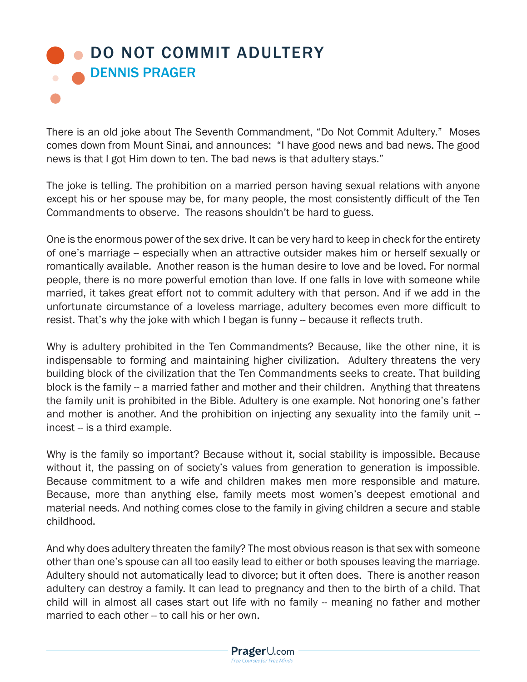## O DO NOT COMMIT ADULTERY DENNIS PRAGER

There is an old joke about The Seventh Commandment, "Do Not Commit Adultery." Moses comes down from Mount Sinai, and announces: "I have good news and bad news. The good news is that I got Him down to ten. The bad news is that adultery stays."

The joke is telling. The prohibition on a married person having sexual relations with anyone except his or her spouse may be, for many people, the most consistently difficult of the Ten Commandments to observe. The reasons shouldn't be hard to guess.

One is the enormous power of the sex drive. It can be very hard to keep in check for the entirety of one's marriage -- especially when an attractive outsider makes him or herself sexually or romantically available. Another reason is the human desire to love and be loved. For normal people, there is no more powerful emotion than love. If one falls in love with someone while married, it takes great effort not to commit adultery with that person. And if we add in the unfortunate circumstance of a loveless marriage, adultery becomes even more difficult to resist. That's why the joke with which I began is funny -- because it reflects truth.

Why is adultery prohibited in the Ten Commandments? Because, like the other nine, it is indispensable to forming and maintaining higher civilization. Adultery threatens the very building block of the civilization that the Ten Commandments seeks to create. That building block is the family -- a married father and mother and their children. Anything that threatens the family unit is prohibited in the Bible. Adultery is one example. Not honoring one's father and mother is another. And the prohibition on injecting any sexuality into the family unit -incest -- is a third example.

Why is the family so important? Because without it, social stability is impossible. Because without it, the passing on of society's values from generation to generation is impossible. Because commitment to a wife and children makes men more responsible and mature. Because, more than anything else, family meets most women's deepest emotional and material needs. And nothing comes close to the family in giving children a secure and stable childhood.

And why does adultery threaten the family? The most obvious reason is that sex with someone other than one's spouse can all too easily lead to either or both spouses leaving the marriage. Adultery should not automatically lead to divorce; but it often does. There is another reason adultery can destroy a family. It can lead to pregnancy and then to the birth of a child. That child will in almost all cases start out life with no family -- meaning no father and mother married to each other -- to call his or her own.